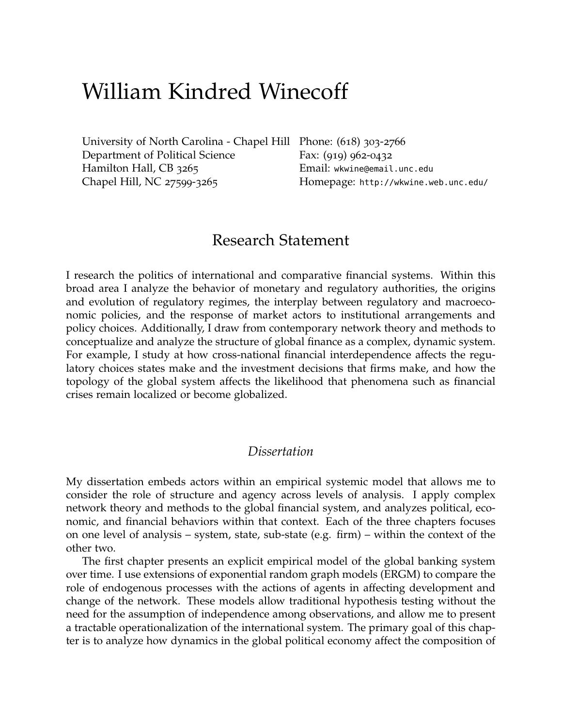# William Kindred Winecoff

[University of North Carolina - Chapel Hill](http://www.unc.edu/) Phone: (618) 303-2766 [Department of Political Science](http://www.unc.edu/depts/polisci/) Hamilton Hall, CB 3265 Chapel Hill, NC 27599-3265

Fax: (919) 962-0432 Email: [wkwine@email.unc.edu](mailto:winecoff@unc.edu) Homepage: <http://wkwine.web.unc.edu/>

# Research Statement

I research the politics of international and comparative financial systems. Within this broad area I analyze the behavior of monetary and regulatory authorities, the origins and evolution of regulatory regimes, the interplay between regulatory and macroeconomic policies, and the response of market actors to institutional arrangements and policy choices. Additionally, I draw from contemporary network theory and methods to conceptualize and analyze the structure of global finance as a complex, dynamic system. For example, I study at how cross-national financial interdependence affects the regulatory choices states make and the investment decisions that firms make, and how the topology of the global system affects the likelihood that phenomena such as financial crises remain localized or become globalized.

## *Dissertation*

My dissertation embeds actors within an empirical systemic model that allows me to consider the role of structure and agency across levels of analysis. I apply complex network theory and methods to the global financial system, and analyzes political, economic, and financial behaviors within that context. Each of the three chapters focuses on one level of analysis – system, state, sub-state (e.g. firm) – within the context of the other two.

The first chapter presents an explicit empirical model of the global banking system over time. I use extensions of exponential random graph models (ERGM) to compare the role of endogenous processes with the actions of agents in affecting development and change of the network. These models allow traditional hypothesis testing without the need for the assumption of independence among observations, and allow me to present a tractable operationalization of the international system. The primary goal of this chapter is to analyze how dynamics in the global political economy affect the composition of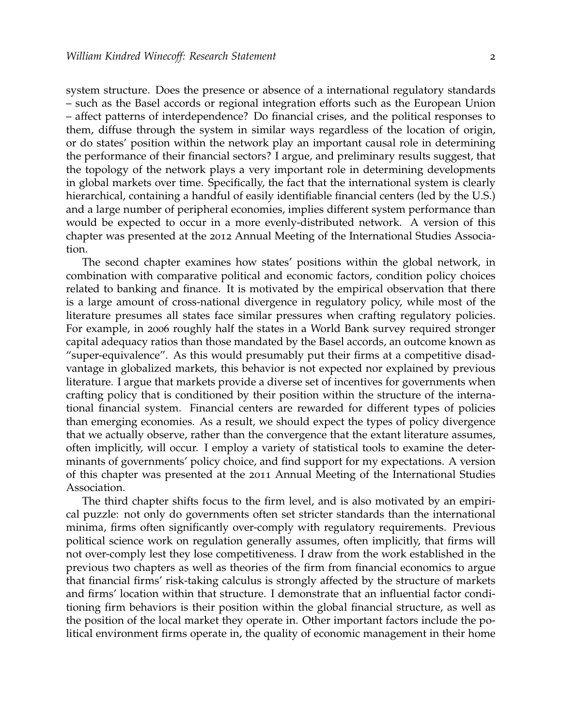system structure. Does the presence or absence of a international regulatory standards – such as the Basel accords or regional integration efforts such as the European Union – affect patterns of interdependence? Do financial crises, and the political responses to them, diffuse through the system in similar ways regardless of the location of origin, or do states' position within the network play an important causal role in determining the performance of their financial sectors? I argue, and preliminary results suggest, that the topology of the network plays a very important role in determining developments in global markets over time. Specifically, the fact that the international system is clearly hierarchical, containing a handful of easily identifiable financial centers (led by the U.S.) and a large number of peripheral economies, implies different system performance than would be expected to occur in a more evenly-distributed network. A version of this chapter was presented at the 2012 Annual Meeting of the International Studies Association.

The second chapter examines how states' positions within the global network, in combination with comparative political and economic factors, condition policy choices related to banking and finance. It is motivated by the empirical observation that there is a large amount of cross-national divergence in regulatory policy, while most of the literature presumes all states face similar pressures when crafting regulatory policies. For example, in 2006 roughly half the states in a World Bank survey required stronger capital adequacy ratios than those mandated by the Basel accords, an outcome known as "super-equivalence". As this would presumably put their firms at a competitive disadvantage in globalized markets, this behavior is not expected nor explained by previous literature. I argue that markets provide a diverse set of incentives for governments when crafting policy that is conditioned by their position within the structure of the international financial system. Financial centers are rewarded for different types of policies than emerging economies. As a result, we should expect the types of policy divergence that we actually observe, rather than the convergence that the extant literature assumes, often implicitly, will occur. I employ a variety of statistical tools to examine the determinants of governments' policy choice, and find support for my expectations. A version of this chapter was presented at the 2011 Annual Meeting of the International Studies Association.

The third chapter shifts focus to the firm level, and is also motivated by an empirical puzzle: not only do governments often set stricter standards than the international minima, firms often significantly over-comply with regulatory requirements. Previous political science work on regulation generally assumes, often implicitly, that firms will not over-comply lest they lose competitiveness. I draw from the work established in the previous two chapters as well as theories of the firm from financial economics to argue that financial firms' risk-taking calculus is strongly affected by the structure of markets and firms' location within that structure. I demonstrate that an influential factor conditioning firm behaviors is their position within the global financial structure, as well as the position of the local market they operate in. Other important factors include the political environment firms operate in, the quality of economic management in their home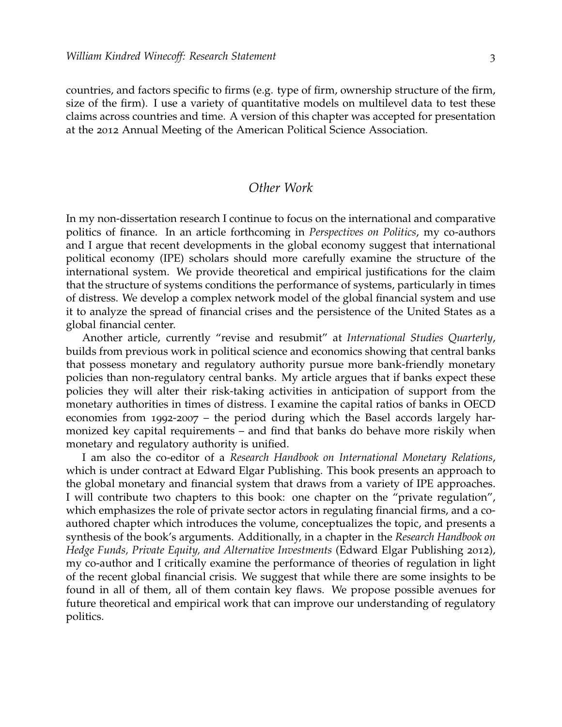countries, and factors specific to firms (e.g. type of firm, ownership structure of the firm, size of the firm). I use a variety of quantitative models on multilevel data to test these claims across countries and time. A version of this chapter was accepted for presentation at the 2012 Annual Meeting of the American Political Science Association.

#### *Other Work*

In my non-dissertation research I continue to focus on the international and comparative politics of finance. In an article forthcoming in *Perspectives on Politics*, my co-authors and I argue that recent developments in the global economy suggest that international political economy (IPE) scholars should more carefully examine the structure of the international system. We provide theoretical and empirical justifications for the claim that the structure of systems conditions the performance of systems, particularly in times of distress. We develop a complex network model of the global financial system and use it to analyze the spread of financial crises and the persistence of the United States as a global financial center.

Another article, currently "revise and resubmit" at *International Studies Quarterly*, builds from previous work in political science and economics showing that central banks that possess monetary and regulatory authority pursue more bank-friendly monetary policies than non-regulatory central banks. My article argues that if banks expect these policies they will alter their risk-taking activities in anticipation of support from the monetary authorities in times of distress. I examine the capital ratios of banks in OECD economies from 1992-2007 – the period during which the Basel accords largely harmonized key capital requirements – and find that banks do behave more riskily when monetary and regulatory authority is unified.

I am also the co-editor of a *Research Handbook on International Monetary Relations*, which is under contract at Edward Elgar Publishing. This book presents an approach to the global monetary and financial system that draws from a variety of IPE approaches. I will contribute two chapters to this book: one chapter on the "private regulation", which emphasizes the role of private sector actors in regulating financial firms, and a coauthored chapter which introduces the volume, conceptualizes the topic, and presents a synthesis of the book's arguments. Additionally, in a chapter in the *Research Handbook on Hedge Funds, Private Equity, and Alternative Investments* (Edward Elgar Publishing 2012), my co-author and I critically examine the performance of theories of regulation in light of the recent global financial crisis. We suggest that while there are some insights to be found in all of them, all of them contain key flaws. We propose possible avenues for future theoretical and empirical work that can improve our understanding of regulatory politics.